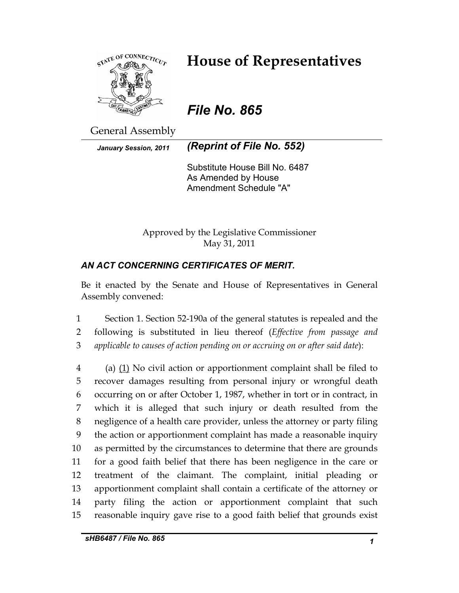

# **House of Representatives**

*File No. 865* 

General Assembly

*January Session, 2011 (Reprint of File No. 552)* 

Substitute House Bill No. 6487 As Amended by House Amendment Schedule "A"

Approved by the Legislative Commissioner May 31, 2011

# *AN ACT CONCERNING CERTIFICATES OF MERIT.*

Be it enacted by the Senate and House of Representatives in General Assembly convened:

1 Section 1. Section 52-190a of the general statutes is repealed and the 2 following is substituted in lieu thereof (*Effective from passage and*  3 *applicable to causes of action pending on or accruing on or after said date*):

4 (a) (1) No civil action or apportionment complaint shall be filed to 5 recover damages resulting from personal injury or wrongful death 6 occurring on or after October 1, 1987, whether in tort or in contract, in 7 which it is alleged that such injury or death resulted from the 8 negligence of a health care provider, unless the attorney or party filing 9 the action or apportionment complaint has made a reasonable inquiry 10 as permitted by the circumstances to determine that there are grounds 11 for a good faith belief that there has been negligence in the care or 12 treatment of the claimant. The complaint, initial pleading or 13 apportionment complaint shall contain a certificate of the attorney or 14 party filing the action or apportionment complaint that such 15 reasonable inquiry gave rise to a good faith belief that grounds exist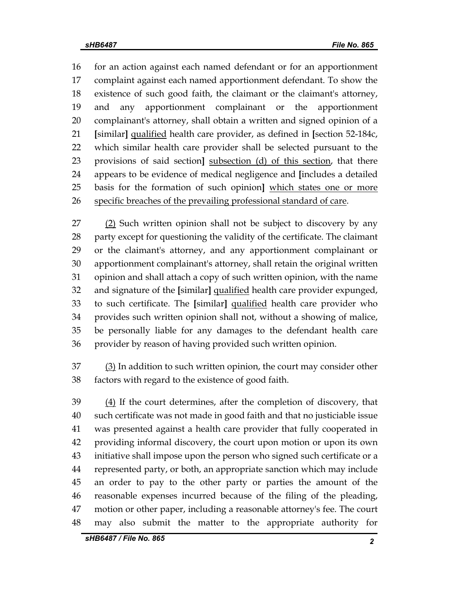16 for an action against each named defendant or for an apportionment 17 complaint against each named apportionment defendant. To show the 18 existence of such good faith, the claimant or the claimant's attorney, 19 and any apportionment complainant or the apportionment 20 complainant's attorney, shall obtain a written and signed opinion of a 21 **[**similar**]** qualified health care provider, as defined in **[**section 52-184c, 22 which similar health care provider shall be selected pursuant to the 23 provisions of said section**]** subsection (d) of this section, that there 24 appears to be evidence of medical negligence and **[**includes a detailed 25 basis for the formation of such opinion**]** which states one or more 26 specific breaches of the prevailing professional standard of care.

27 (2) Such written opinion shall not be subject to discovery by any 28 party except for questioning the validity of the certificate. The claimant 29 or the claimant's attorney, and any apportionment complainant or 30 apportionment complainant's attorney, shall retain the original written 31 opinion and shall attach a copy of such written opinion, with the name 32 and signature of the **[**similar**]** qualified health care provider expunged, 33 to such certificate. The **[**similar**]** qualified health care provider who 34 provides such written opinion shall not, without a showing of malice, 35 be personally liable for any damages to the defendant health care 36 provider by reason of having provided such written opinion.

37 (3) In addition to such written opinion, the court may consider other 38 factors with regard to the existence of good faith.

39 (4) If the court determines, after the completion of discovery, that 40 such certificate was not made in good faith and that no justiciable issue 41 was presented against a health care provider that fully cooperated in 42 providing informal discovery, the court upon motion or upon its own 43 initiative shall impose upon the person who signed such certificate or a 44 represented party, or both, an appropriate sanction which may include 45 an order to pay to the other party or parties the amount of the 46 reasonable expenses incurred because of the filing of the pleading, 47 motion or other paper, including a reasonable attorney's fee. The court 48 may also submit the matter to the appropriate authority for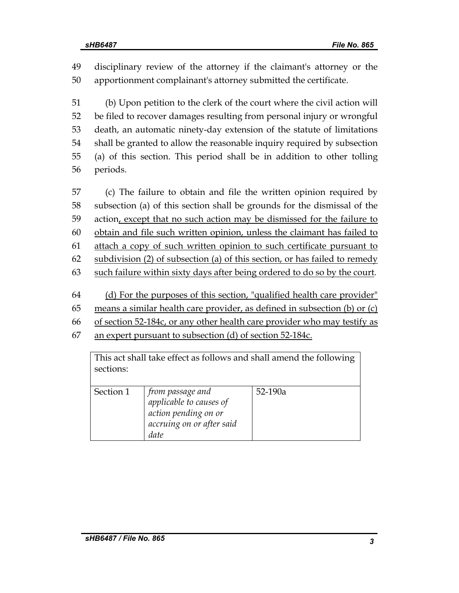49 disciplinary review of the attorney if the claimant's attorney or the 50 apportionment complainant's attorney submitted the certificate.

51 (b) Upon petition to the clerk of the court where the civil action will 52 be filed to recover damages resulting from personal injury or wrongful 53 death, an automatic ninety-day extension of the statute of limitations 54 shall be granted to allow the reasonable inquiry required by subsection 55 (a) of this section. This period shall be in addition to other tolling 56 periods.

57 (c) The failure to obtain and file the written opinion required by 58 subsection (a) of this section shall be grounds for the dismissal of the 59 action, except that no such action may be dismissed for the failure to 60 obtain and file such written opinion, unless the claimant has failed to 61 attach a copy of such written opinion to such certificate pursuant to 62 subdivision (2) of subsection (a) of this section, or has failed to remedy 63 such failure within sixty days after being ordered to do so by the court.

- 64 (d) For the purposes of this section, "qualified health care provider"
- 65 means a similar health care provider, as defined in subsection (b) or (c)
- 66 of section 52-184c, or any other health care provider who may testify as
- 67 an expert pursuant to subsection (d) of section 52-184c.

This act shall take effect as follows and shall amend the following sections:

| Section 1 | from passage and<br>applicable to causes of<br>action pending on or<br>accruing on or after said<br>date | $52-190a$ |
|-----------|----------------------------------------------------------------------------------------------------------|-----------|
|           |                                                                                                          |           |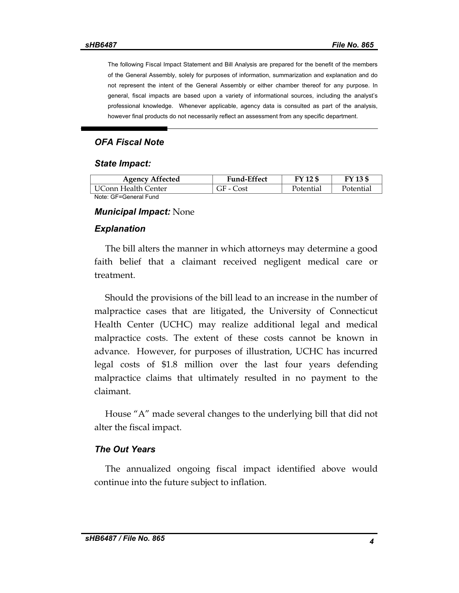The following Fiscal Impact Statement and Bill Analysis are prepared for the benefit of the members of the General Assembly, solely for purposes of information, summarization and explanation and do not represent the intent of the General Assembly or either chamber thereof for any purpose. In general, fiscal impacts are based upon a variety of informational sources, including the analyst's professional knowledge. Whenever applicable, agency data is consulted as part of the analysis, however final products do not necessarily reflect an assessment from any specific department.

# *OFA Fiscal Note*

#### *State Impact:*

| <b>Agency Affected</b> | <b>Fund-Effect</b> | FY 12 \$  | FY 13 \$  |
|------------------------|--------------------|-----------|-----------|
| UConn Health Center    | GF - Cost          | Potential | Potential |
| Note: GF=General Fund  |                    |           |           |

#### *Municipal Impact:* None

#### *Explanation*

The bill alters the manner in which attorneys may determine a good faith belief that a claimant received negligent medical care or treatment.

Should the provisions of the bill lead to an increase in the number of malpractice cases that are litigated, the University of Connecticut Health Center (UCHC) may realize additional legal and medical malpractice costs. The extent of these costs cannot be known in advance. However, for purposes of illustration, UCHC has incurred legal costs of \$1.8 million over the last four years defending malpractice claims that ultimately resulted in no payment to the claimant.

House "A" made several changes to the underlying bill that did not alter the fiscal impact.

## *The Out Years*

The annualized ongoing fiscal impact identified above would continue into the future subject to inflation.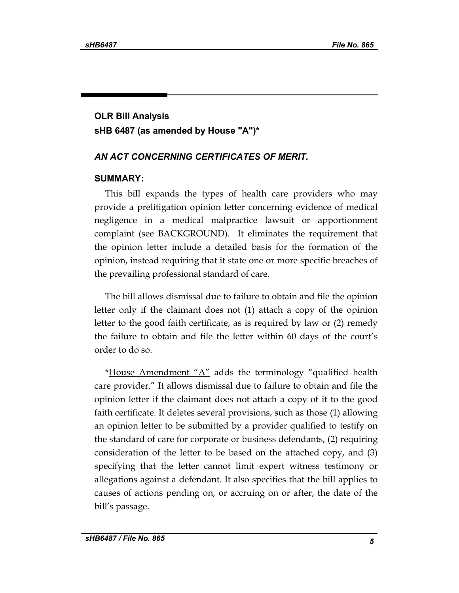# **OLR Bill Analysis sHB 6487 (as amended by House "A")\***

## *AN ACT CONCERNING CERTIFICATES OF MERIT.*

#### **SUMMARY:**

This bill expands the types of health care providers who may provide a prelitigation opinion letter concerning evidence of medical negligence in a medical malpractice lawsuit or apportionment complaint (see BACKGROUND). It eliminates the requirement that the opinion letter include a detailed basis for the formation of the opinion, instead requiring that it state one or more specific breaches of the prevailing professional standard of care.

The bill allows dismissal due to failure to obtain and file the opinion letter only if the claimant does not (1) attach a copy of the opinion letter to the good faith certificate, as is required by law or (2) remedy the failure to obtain and file the letter within 60 days of the court's order to do so.

\*House Amendment " $A$ " adds the terminology "qualified health care provider." It allows dismissal due to failure to obtain and file the opinion letter if the claimant does not attach a copy of it to the good faith certificate. It deletes several provisions, such as those (1) allowing an opinion letter to be submitted by a provider qualified to testify on the standard of care for corporate or business defendants, (2) requiring consideration of the letter to be based on the attached copy, and (3) specifying that the letter cannot limit expert witness testimony or allegations against a defendant. It also specifies that the bill applies to causes of actions pending on, or accruing on or after, the date of the bill's passage.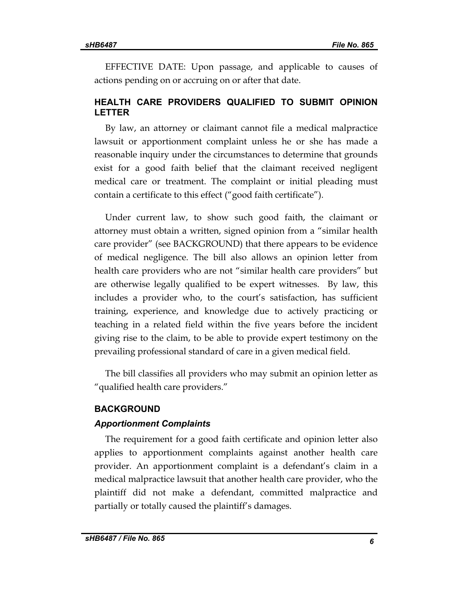EFFECTIVE DATE: Upon passage, and applicable to causes of actions pending on or accruing on or after that date.

## **HEALTH CARE PROVIDERS QUALIFIED TO SUBMIT OPINION LETTER**

By law, an attorney or claimant cannot file a medical malpractice lawsuit or apportionment complaint unless he or she has made a reasonable inquiry under the circumstances to determine that grounds exist for a good faith belief that the claimant received negligent medical care or treatment. The complaint or initial pleading must contain a certificate to this effect ("good faith certificate").

Under current law, to show such good faith, the claimant or attorney must obtain a written, signed opinion from a "similar health care provider" (see BACKGROUND) that there appears to be evidence of medical negligence. The bill also allows an opinion letter from health care providers who are not "similar health care providers" but are otherwise legally qualified to be expert witnesses. By law, this includes a provider who, to the court's satisfaction, has sufficient training, experience, and knowledge due to actively practicing or teaching in a related field within the five years before the incident giving rise to the claim, to be able to provide expert testimony on the prevailing professional standard of care in a given medical field.

The bill classifies all providers who may submit an opinion letter as "qualified health care providers."

#### **BACKGROUND**

#### *Apportionment Complaints*

The requirement for a good faith certificate and opinion letter also applies to apportionment complaints against another health care provider. An apportionment complaint is a defendant's claim in a medical malpractice lawsuit that another health care provider, who the plaintiff did not make a defendant, committed malpractice and partially or totally caused the plaintiff's damages.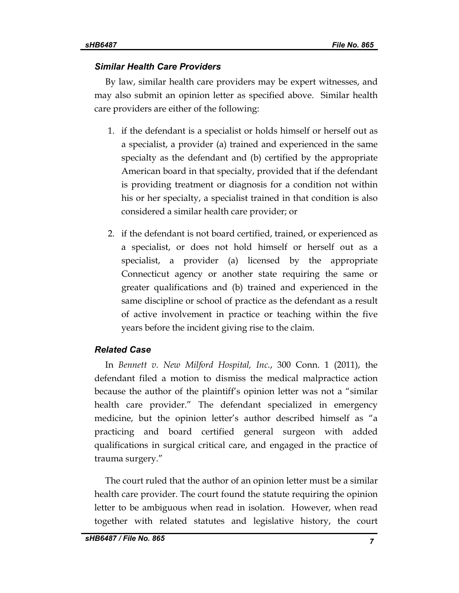## *Similar Health Care Providers*

By law, similar health care providers may be expert witnesses, and may also submit an opinion letter as specified above. Similar health care providers are either of the following:

- 1. if the defendant is a specialist or holds himself or herself out as a specialist, a provider (a) trained and experienced in the same specialty as the defendant and (b) certified by the appropriate American board in that specialty, provided that if the defendant is providing treatment or diagnosis for a condition not within his or her specialty, a specialist trained in that condition is also considered a similar health care provider; or
- 2. if the defendant is not board certified, trained, or experienced as a specialist, or does not hold himself or herself out as a specialist, a provider (a) licensed by the appropriate Connecticut agency or another state requiring the same or greater qualifications and (b) trained and experienced in the same discipline or school of practice as the defendant as a result of active involvement in practice or teaching within the five years before the incident giving rise to the claim.

## *Related Case*

In *Bennett v. New Milford Hospital, Inc.*, 300 Conn. 1 (2011), the defendant filed a motion to dismiss the medical malpractice action because the author of the plaintiff's opinion letter was not a "similar health care provider." The defendant specialized in emergency medicine, but the opinion letter's author described himself as "a practicing and board certified general surgeon with added qualifications in surgical critical care, and engaged in the practice of trauma surgery."

The court ruled that the author of an opinion letter must be a similar health care provider. The court found the statute requiring the opinion letter to be ambiguous when read in isolation. However, when read together with related statutes and legislative history, the court